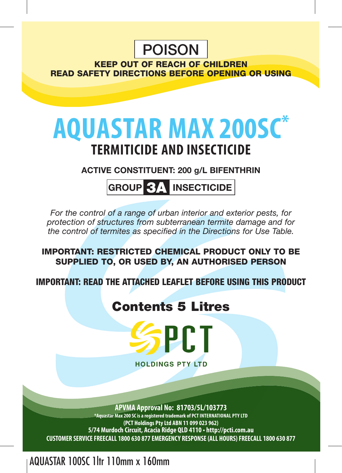## POISON

KEEP OUT OF REACH OF CHILDREN READ SAFETY DIRECTIONS BEFORE OPENING OR USING

# **aquastar MAX 200SC\* TERMITICIDE AND Insecticide**

**ACTIVE CONSTITUENT: 200 g/L BIFENTHRIN**

**GROUP** 3A **INSECTICIDE**

*For the control of a range of urban interior and exterior pests, for protection of structures from subterranean termite damage and for the control of termites as specified in the Directions for Use Table.*

IMPORTANT: RESTRICTED CHEMICAL PRODUCT ONLY TO BE SUPPLIED TO, OR USED BY, AN AUTHORISED PERSON

IMPORTANT: READ THE ATTACHED LEAFLET BEFORE USING THIS PRODUCT

## Contents 5 Litres



**HOLDINGS PTY LTD** 

**APVMA Approval No: 81703/5L/103773 \*Aquastar Max 200 SC is a registered trademark of PCT International PTY LTD (PCT Holdings Pty Ltd ABN 11 099 023 962) 5/74 Murdoch Circuit, Acacia Ridge QLD 4110 • http://pcti.com.au CUSTOMER SERVICE FREECALL 1800 630 877 EMERGENCY RESPONSE (ALL HOURS) FREECALL 1800 630 877**

AQUASTAR 100SC 1ltr 110mm x 160mm